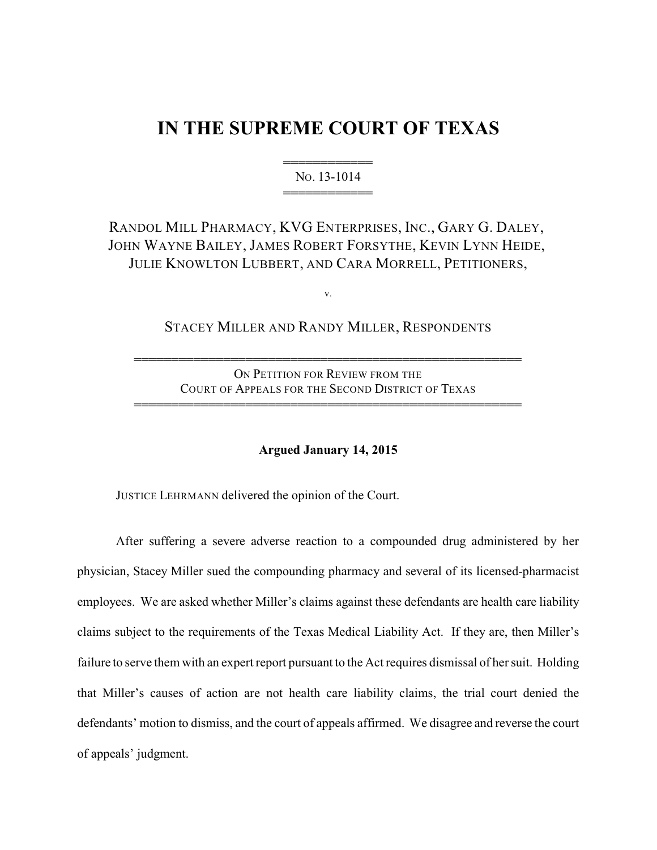# **IN THE SUPREME COURT OF TEXAS**

444444444444 NO. 13-1014 444444444444

# RANDOL MILL PHARMACY, KVG ENTERPRISES, INC., GARY G. DALEY, JOHN WAYNE BAILEY, JAMES ROBERT FORSYTHE, KEVIN LYNN HEIDE, JULIE KNOWLTON LUBBERT, AND CARA MORRELL, PETITIONERS,

v.

STACEY MILLER AND RANDY MILLER, RESPONDENTS

ON PETITION FOR REVIEW FROM THE COURT OF APPEALS FOR THE SECOND DISTRICT OF TEXAS

4444444444444444444444444444444444444444444444444444

4444444444444444444444444444444444444444444444444444

# **Argued January 14, 2015**

JUSTICE LEHRMANN delivered the opinion of the Court.

After suffering a severe adverse reaction to a compounded drug administered by her physician, Stacey Miller sued the compounding pharmacy and several of its licensed-pharmacist employees. We are asked whether Miller's claims against these defendants are health care liability claims subject to the requirements of the Texas Medical Liability Act. If they are, then Miller's failure to serve them with an expert report pursuant to the Act requires dismissal of her suit. Holding that Miller's causes of action are not health care liability claims, the trial court denied the defendants' motion to dismiss, and the court of appeals affirmed. We disagree and reverse the court of appeals' judgment.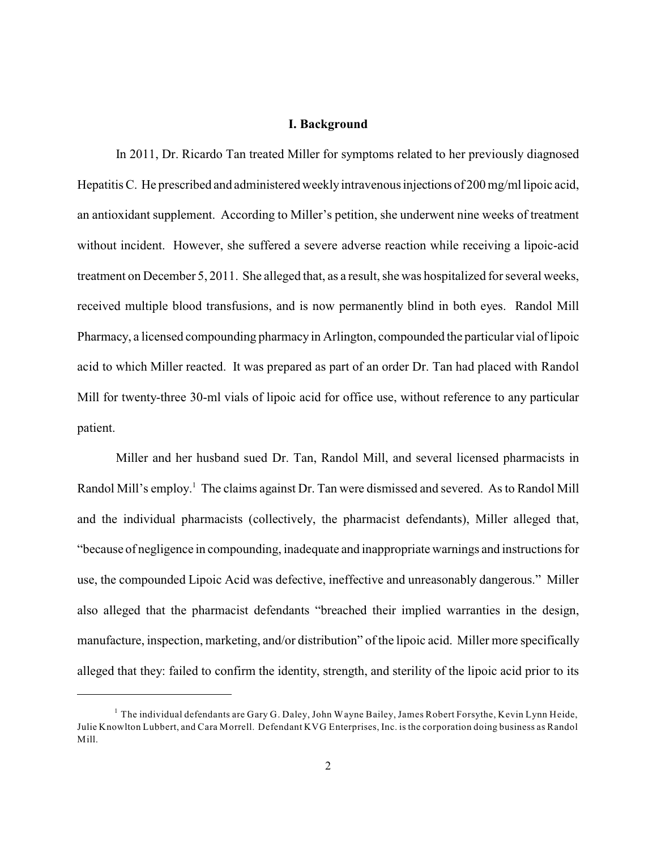# **I. Background**

In 2011, Dr. Ricardo Tan treated Miller for symptoms related to her previously diagnosed HepatitisC. He prescribed and administered weeklyintravenous injections of 200 mg/ml lipoic acid, an antioxidant supplement. According to Miller's petition, she underwent nine weeks of treatment without incident. However, she suffered a severe adverse reaction while receiving a lipoic-acid treatment on December 5, 2011. She alleged that, as a result, she was hospitalized for several weeks, received multiple blood transfusions, and is now permanently blind in both eyes. Randol Mill Pharmacy, a licensed compounding pharmacy in Arlington, compounded the particular vial of lipoic acid to which Miller reacted. It was prepared as part of an order Dr. Tan had placed with Randol Mill for twenty-three 30-ml vials of lipoic acid for office use, without reference to any particular patient.

Miller and her husband sued Dr. Tan, Randol Mill, and several licensed pharmacists in Randol Mill's employ.<sup>1</sup> The claims against Dr. Tan were dismissed and severed. As to Randol Mill and the individual pharmacists (collectively, the pharmacist defendants), Miller alleged that, "because of negligence in compounding, inadequate and inappropriate warnings and instructions for use, the compounded Lipoic Acid was defective, ineffective and unreasonably dangerous." Miller also alleged that the pharmacist defendants "breached their implied warranties in the design, manufacture, inspection, marketing, and/or distribution" of the lipoic acid. Miller more specifically alleged that they: failed to confirm the identity, strength, and sterility of the lipoic acid prior to its

 $^1$  The individual defendants are Gary G. Daley, John Wayne Bailey, James Robert Forsythe, Kevin Lynn Heide, Julie Knowlton Lubbert, and Cara Morrell. Defendant KVG Enterprises, Inc. is the corporation doing business as Randol Mill.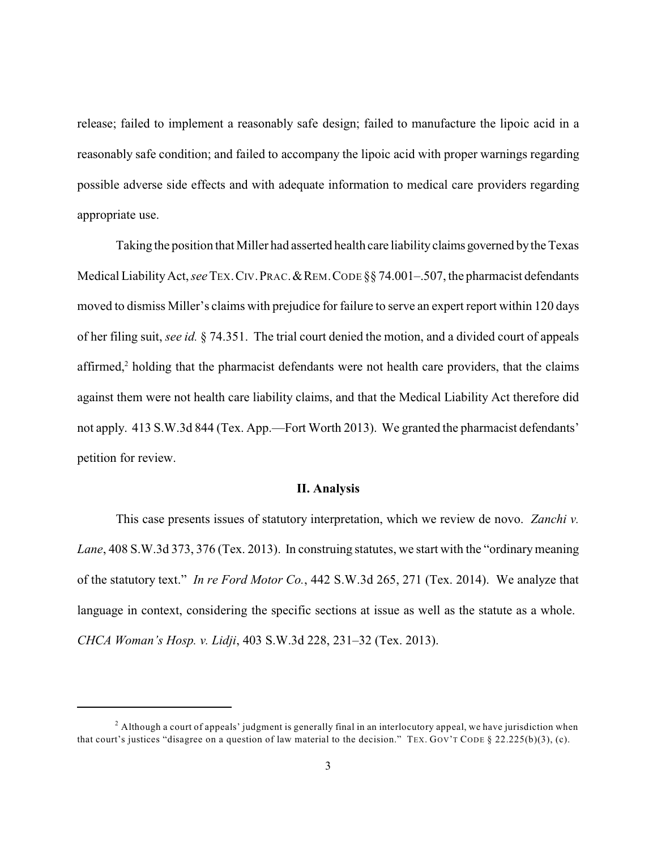release; failed to implement a reasonably safe design; failed to manufacture the lipoic acid in a reasonably safe condition; and failed to accompany the lipoic acid with proper warnings regarding possible adverse side effects and with adequate information to medical care providers regarding appropriate use.

Taking the position that Miller had asserted health care liability claims governed bythe Texas Medical Liability Act, *see* TEX. CIV. PRAC. & REM. CODE §§ 74.001-.507, the pharmacist defendants moved to dismiss Miller's claims with prejudice for failure to serve an expert report within 120 days of her filing suit, *see id.* § 74.351. The trial court denied the motion, and a divided court of appeals affirmed, $\alpha$  holding that the pharmacist defendants were not health care providers, that the claims against them were not health care liability claims, and that the Medical Liability Act therefore did not apply. 413 S.W.3d 844 (Tex. App.—Fort Worth 2013). We granted the pharmacist defendants' petition for review.

### **II. Analysis**

This case presents issues of statutory interpretation, which we review de novo. *Zanchi v.* Lane, 408 S.W.3d 373, 376 (Tex. 2013). In construing statutes, we start with the "ordinary meaning" of the statutory text." *In re Ford Motor Co.*, 442 S.W.3d 265, 271 (Tex. 2014). We analyze that language in context, considering the specific sections at issue as well as the statute as a whole. *CHCA Woman's Hosp. v. Lidji*, 403 S.W.3d 228, 231–32 (Tex. 2013).

 $^2$  Although a court of appeals' judgment is generally final in an interlocutory appeal, we have jurisdiction when that court's justices "disagree on a question of law material to the decision." TEX. GOV'T CODE § 22.225(b)(3), (c).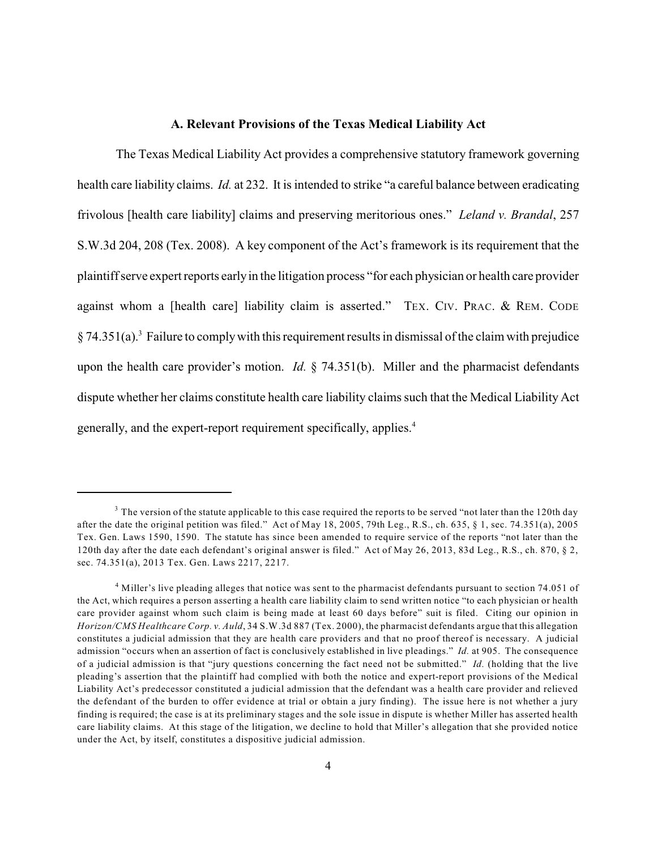# **A. Relevant Provisions of the Texas Medical Liability Act**

The Texas Medical Liability Act provides a comprehensive statutory framework governing health care liability claims. *Id.* at 232. It is intended to strike "a careful balance between eradicating frivolous [health care liability] claims and preserving meritorious ones." *Leland v. Brandal*, 257 S.W.3d 204, 208 (Tex. 2008). A key component of the Act's framework is its requirement that the plaintiff serve expert reports earlyin the litigation process "for each physician or health care provider against whom a [health care] liability claim is asserted." TEX. CIV. PRAC. & REM. CODE  $§$  74.351(a).<sup>3</sup> Failure to comply with this requirement results in dismissal of the claim with prejudice upon the health care provider's motion. *Id.* § 74.351(b). Miller and the pharmacist defendants dispute whether her claims constitute health care liability claims such that the Medical Liability Act generally, and the expert-report requirement specifically, applies.<sup>4</sup>

 $3$  The version of the statute applicable to this case required the reports to be served "not later than the 120th day after the date the original petition was filed." Act of May 18, 2005, 79th Leg., R.S., ch. 635, § 1, sec. 74.351(a), 2005 Tex. Gen. Laws 1590, 1590. The statute has since been amended to require service of the reports "not later than the 120th day after the date each defendant's original answer is filed." Act of May 26, 2013, 83d Leg., R.S., ch. 870, § 2, sec. 74.351(a), 2013 Tex. Gen. Laws 2217, 2217.

 $4$  Miller's live pleading alleges that notice was sent to the pharmacist defendants pursuant to section 74.051 of the Act, which requires a person asserting a health care liability claim to send written notice "to each physician or health care provider against whom such claim is being made at least 60 days before" suit is filed. Citing our opinion in *Horizon/CMS Healthcare Corp. v. Auld*, 34 S.W.3d 887 (Tex. 2000), the pharmacist defendants argue that this allegation constitutes a judicial admission that they are health care providers and that no proof thereof is necessary. A judicial admission "occurs when an assertion of fact is conclusively established in live pleadings." *Id.* at 905. The consequence of a judicial admission is that "jury questions concerning the fact need not be submitted." *Id.* (holding that the live pleading's assertion that the plaintiff had complied with both the notice and expert-report provisions of the Medical Liability Act's predecessor constituted a judicial admission that the defendant was a health care provider and relieved the defendant of the burden to offer evidence at trial or obtain a jury finding). The issue here is not whether a jury finding is required; the case is at its preliminary stages and the sole issue in dispute is whether Miller has asserted health care liability claims. At this stage of the litigation, we decline to hold that Miller's allegation that she provided notice under the Act, by itself, constitutes a dispositive judicial admission.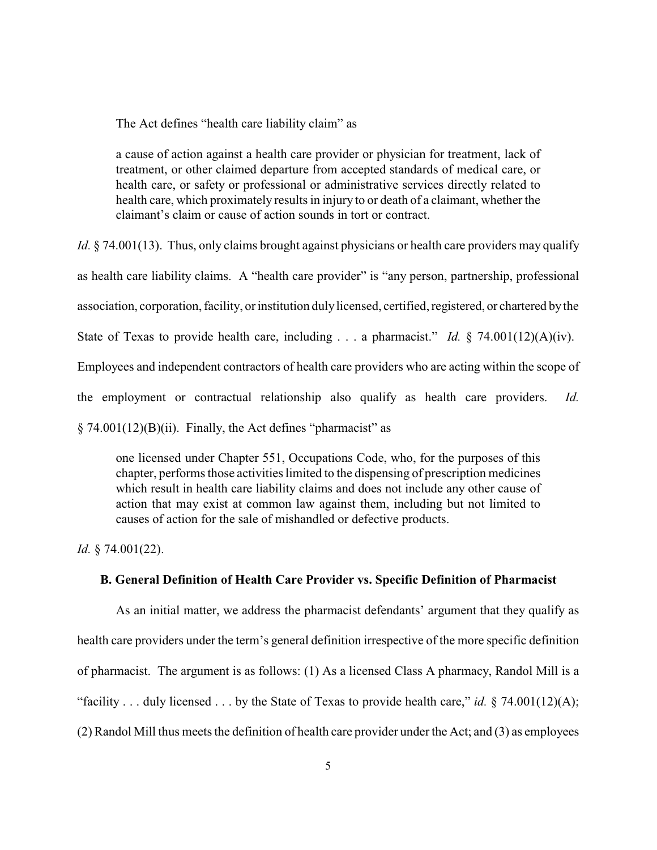The Act defines "health care liability claim" as

a cause of action against a health care provider or physician for treatment, lack of treatment, or other claimed departure from accepted standards of medical care, or health care, or safety or professional or administrative services directly related to health care, which proximately results in injury to or death of a claimant, whether the claimant's claim or cause of action sounds in tort or contract.

*Id.* § 74.001(13). Thus, only claims brought against physicians or health care providers may qualify

as health care liability claims. A "health care provider" is "any person, partnership, professional

association, corporation, facility, or institution dulylicensed, certified, registered, or chartered bythe

State of Texas to provide health care, including . . . a pharmacist." *Id.* § 74.001(12)(A)(iv).

Employees and independent contractors of health care providers who are acting within the scope of

the employment or contractual relationship also qualify as health care providers. *Id.*

 $\S$  74.001(12)(B)(ii). Finally, the Act defines "pharmacist" as

one licensed under Chapter 551, Occupations Code, who, for the purposes of this chapter, performs those activities limited to the dispensing of prescription medicines which result in health care liability claims and does not include any other cause of action that may exist at common law against them, including but not limited to causes of action for the sale of mishandled or defective products.

*Id.* § 74.001(22).

### **B. General Definition of Health Care Provider vs. Specific Definition of Pharmacist**

As an initial matter, we address the pharmacist defendants' argument that they qualify as health care providers under the term's general definition irrespective of the more specific definition of pharmacist. The argument is as follows: (1) As a licensed Class A pharmacy, Randol Mill is a "facility . . . duly licensed . . . by the State of Texas to provide health care," *id.* § 74.001(12)(A); (2) Randol Mill thus meets the definition of health care provider under the Act; and (3) as employees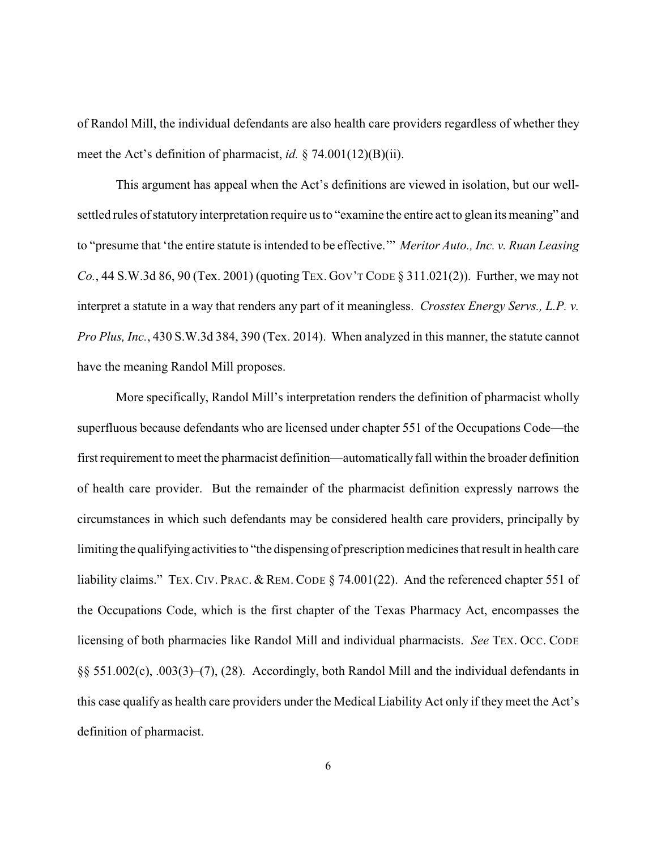of Randol Mill, the individual defendants are also health care providers regardless of whether they meet the Act's definition of pharmacist, *id.* § 74.001(12)(B)(ii).

This argument has appeal when the Act's definitions are viewed in isolation, but our wellsettled rules of statutory interpretation require us to "examine the entire act to glean its meaning" and to "presume that 'the entire statute is intended to be effective.'" *Meritor Auto., Inc. v. Ruan Leasing Co.*, 44 S.W.3d 86, 90 (Tex. 2001) (quoting TEX. GOV'T CODE § 311.021(2)). Further, we may not interpret a statute in a way that renders any part of it meaningless. *Crosstex Energy Servs., L.P. v. Pro Plus, Inc.*, 430 S.W.3d 384, 390 (Tex. 2014). When analyzed in this manner, the statute cannot have the meaning Randol Mill proposes.

More specifically, Randol Mill's interpretation renders the definition of pharmacist wholly superfluous because defendants who are licensed under chapter 551 of the Occupations Code—the first requirement to meet the pharmacist definition—automatically fall within the broader definition of health care provider. But the remainder of the pharmacist definition expressly narrows the circumstances in which such defendants may be considered health care providers, principally by limiting the qualifying activitiesto "the dispensing of prescription medicines that result in health care liability claims." TEX. CIV. PRAC. & REM. CODE § 74.001(22). And the referenced chapter 551 of the Occupations Code, which is the first chapter of the Texas Pharmacy Act, encompasses the licensing of both pharmacies like Randol Mill and individual pharmacists. *See* TEX. OCC. CODE §§ 551.002(c), .003(3)–(7), (28). Accordingly, both Randol Mill and the individual defendants in this case qualify as health care providers under the Medical Liability Act only if they meet the Act's definition of pharmacist.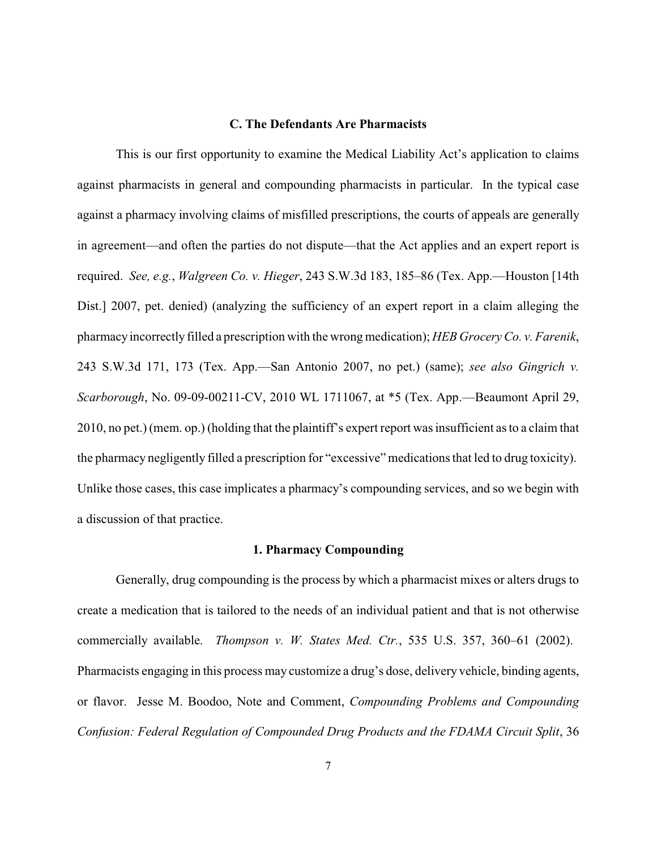# **C. The Defendants Are Pharmacists**

This is our first opportunity to examine the Medical Liability Act's application to claims against pharmacists in general and compounding pharmacists in particular. In the typical case against a pharmacy involving claims of misfilled prescriptions, the courts of appeals are generally in agreement—and often the parties do not dispute—that the Act applies and an expert report is required. *See, e.g.*, *Walgreen Co. v. Hieger*, 243 S.W.3d 183, 185–86 (Tex. App.—Houston [14th Dist.] 2007, pet. denied) (analyzing the sufficiency of an expert report in a claim alleging the pharmacy incorrectly filled a prescription with the wrongmedication); *HEB Grocery Co. v. Farenik*, 243 S.W.3d 171, 173 (Tex. App.—San Antonio 2007, no pet.) (same); *see also Gingrich v. Scarborough*, No. 09-09-00211-CV, 2010 WL 1711067, at \*5 (Tex. App.—Beaumont April 29, 2010, no pet.) (mem. op.) (holding that the plaintiff's expert report was insufficient as to a claim that the pharmacy negligently filled a prescription for "excessive"medications that led to drug toxicity). Unlike those cases, this case implicates a pharmacy's compounding services, and so we begin with a discussion of that practice.

# **1. Pharmacy Compounding**

Generally, drug compounding is the process by which a pharmacist mixes or alters drugs to create a medication that is tailored to the needs of an individual patient and that is not otherwise commercially available. *Thompson v. W. States Med. Ctr.*, 535 U.S. 357, 360–61 (2002). Pharmacists engaging in this process may customize a drug's dose, delivery vehicle, binding agents, or flavor. Jesse M. Boodoo, Note and Comment, *Compounding Problems and Compounding Confusion: Federal Regulation of Compounded Drug Products and the FDAMA Circuit Split*, 36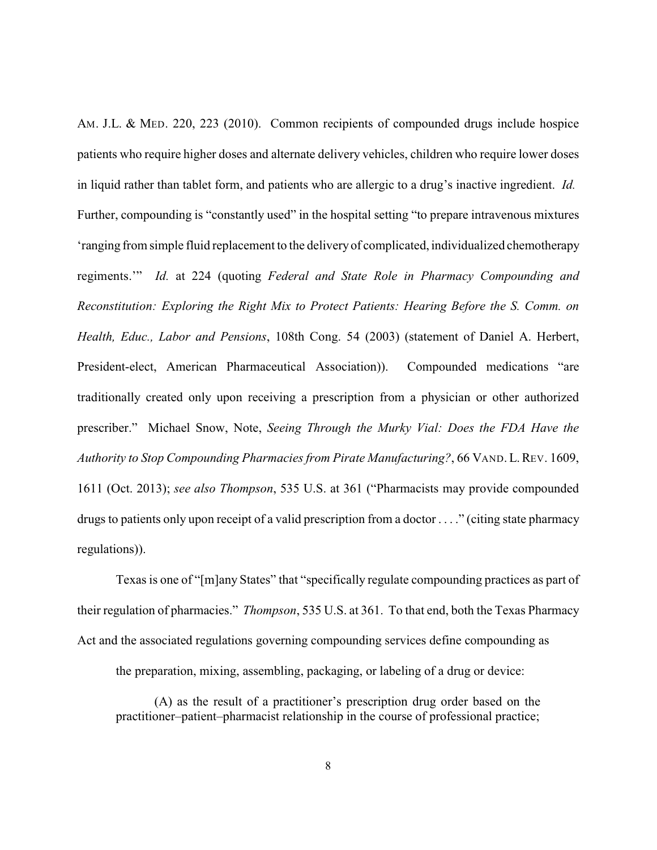AM. J.L. & MED. 220, 223 (2010). Common recipients of compounded drugs include hospice patients who require higher doses and alternate delivery vehicles, children who require lower doses in liquid rather than tablet form, and patients who are allergic to a drug's inactive ingredient. *Id.* Further, compounding is "constantly used" in the hospital setting "to prepare intravenous mixtures 'ranging from simple fluid replacement to the deliveryof complicated, individualized chemotherapy regiments.'" *Id.* at 224 (quoting *Federal and State Role in Pharmacy Compounding and Reconstitution: Exploring the Right Mix to Protect Patients: Hearing Before the S. Comm. on Health, Educ., Labor and Pensions*, 108th Cong. 54 (2003) (statement of Daniel A. Herbert, President-elect, American Pharmaceutical Association)). Compounded medications "are traditionally created only upon receiving a prescription from a physician or other authorized prescriber." Michael Snow, Note, *Seeing Through the Murky Vial: Does the FDA Have the Authority to Stop Compounding Pharmacies from Pirate Manufacturing?*, 66 VAND.L.REV. 1609, 1611 (Oct. 2013); *see also Thompson*, 535 U.S. at 361 ("Pharmacists may provide compounded drugs to patients only upon receipt of a valid prescription from a doctor . . . ." (citing state pharmacy regulations)).

Texas is one of "[m]any States" that "specifically regulate compounding practices as part of their regulation of pharmacies." *Thompson*, 535 U.S. at 361. To that end, both the Texas Pharmacy Act and the associated regulations governing compounding services define compounding as

the preparation, mixing, assembling, packaging, or labeling of a drug or device:

(A) as the result of a practitioner's prescription drug order based on the practitioner–patient–pharmacist relationship in the course of professional practice;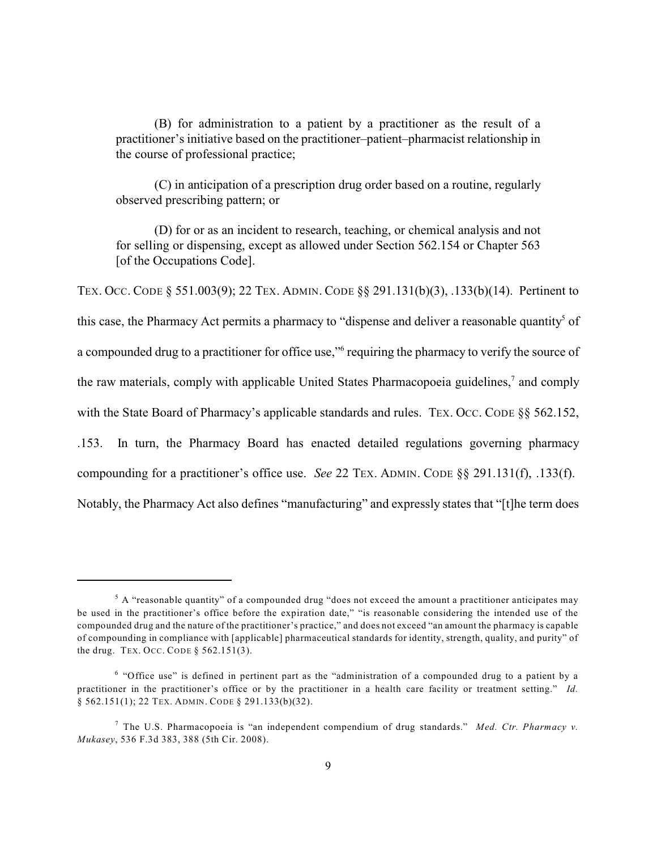(B) for administration to a patient by a practitioner as the result of a practitioner's initiative based on the practitioner–patient–pharmacist relationship in the course of professional practice;

(C) in anticipation of a prescription drug order based on a routine, regularly observed prescribing pattern; or

(D) for or as an incident to research, teaching, or chemical analysis and not for selling or dispensing, except as allowed under Section 562.154 or Chapter 563 [of the Occupations Code].

TEX. OCC. CODE § 551.003(9); 22 TEX. ADMIN. CODE §§ 291.131(b)(3), .133(b)(14). Pertinent to this case, the Pharmacy Act permits a pharmacy to "dispense and deliver a reasonable quantity" of a compounded drug to a practitioner for office use," requiring the pharmacy to verify the source of the raw materials, comply with applicable United States Pharmacopoeia guidelines,<sup>7</sup> and comply with the State Board of Pharmacy's applicable standards and rules. TEX. OCC. CODE §§ 562.152, .153. In turn, the Pharmacy Board has enacted detailed regulations governing pharmacy compounding for a practitioner's office use. *See* 22 TEX. ADMIN. CODE §§ 291.131(f), .133(f). Notably, the Pharmacy Act also defines "manufacturing" and expressly states that "[t]he term does

 $5$  A "reasonable quantity" of a compounded drug "does not exceed the amount a practitioner anticipates may be used in the practitioner's office before the expiration date," "is reasonable considering the intended use of the compounded drug and the nature of the practitioner's practice," and does not exceed "an amount the pharmacy is capable of compounding in compliance with [applicable] pharmaceutical standards for identity, strength, quality, and purity" of the drug. TEX. OCC. CODE  $\S$  562.151(3).

 $6$  "Office use" is defined in pertinent part as the "administration of a compounded drug to a patient by a practitioner in the practitioner's office or by the practitioner in a health care facility or treatment setting." *Id.* § 562.151(1); 22 TEX. ADMIN. CODE § 291.133(b)(32).

The U.S. Pharmacopoeia is "an independent compendium of drug standards." *Med. Ctr. Pharmacy v.* 7 *Mukasey*, 536 F.3d 383, 388 (5th Cir. 2008).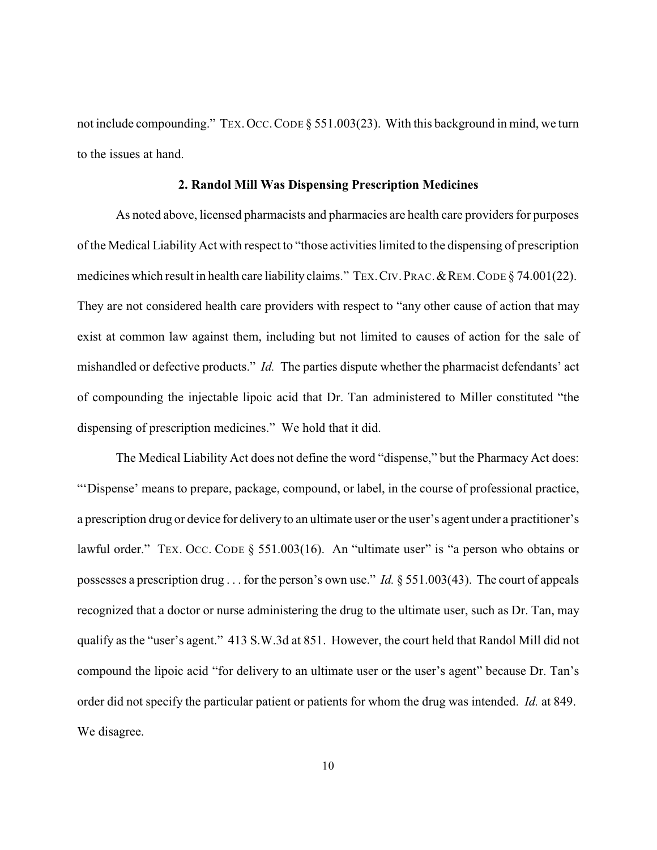not include compounding." TEX. OCC. CODE § 551.003(23). With this background in mind, we turn to the issues at hand.

# **2. Randol Mill Was Dispensing Prescription Medicines**

As noted above, licensed pharmacists and pharmacies are health care providers for purposes of the Medical Liability Act with respect to "those activities limited to the dispensing of prescription medicines which result in health care liability claims." TEX. CIV. PRAC. & REM. CODE § 74.001(22). They are not considered health care providers with respect to "any other cause of action that may exist at common law against them, including but not limited to causes of action for the sale of mishandled or defective products." *Id.* The parties dispute whether the pharmacist defendants' act of compounding the injectable lipoic acid that Dr. Tan administered to Miller constituted "the dispensing of prescription medicines." We hold that it did.

The Medical Liability Act does not define the word "dispense," but the Pharmacy Act does: "'Dispense' means to prepare, package, compound, or label, in the course of professional practice, a prescription drug or device for delivery to an ultimate user or the user's agent under a practitioner's lawful order." TEX. OCC. CODE § 551.003(16). An "ultimate user" is "a person who obtains or possesses a prescription drug . . . for the person's own use." *Id.* § 551.003(43). The court of appeals recognized that a doctor or nurse administering the drug to the ultimate user, such as Dr. Tan, may qualify as the "user's agent." 413 S.W.3d at 851. However, the court held that Randol Mill did not compound the lipoic acid "for delivery to an ultimate user or the user's agent" because Dr. Tan's order did not specify the particular patient or patients for whom the drug was intended. *Id.* at 849. We disagree.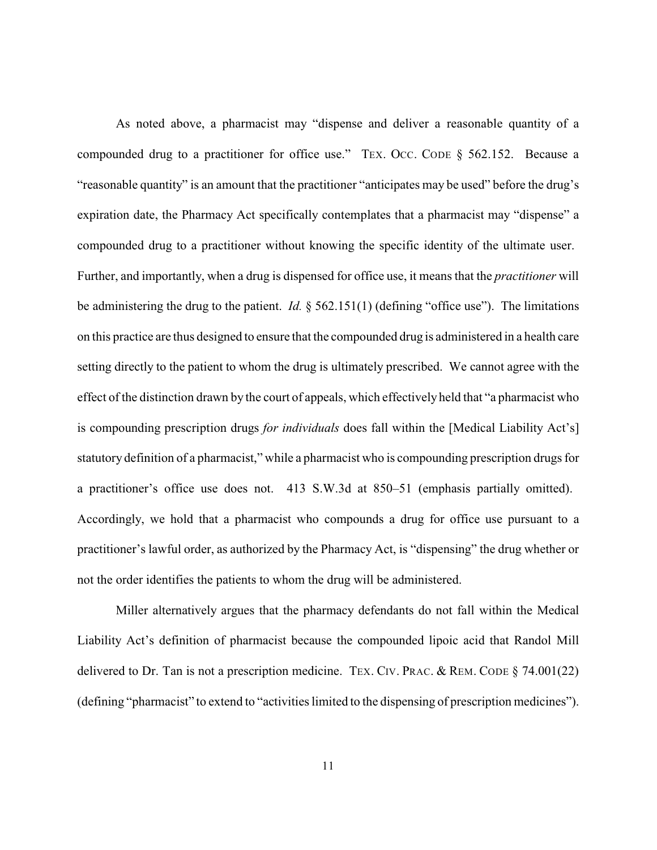As noted above, a pharmacist may "dispense and deliver a reasonable quantity of a compounded drug to a practitioner for office use." TEX. OCC. CODE § 562.152. Because a "reasonable quantity" is an amount that the practitioner "anticipates may be used" before the drug's expiration date, the Pharmacy Act specifically contemplates that a pharmacist may "dispense" a compounded drug to a practitioner without knowing the specific identity of the ultimate user. Further, and importantly, when a drug is dispensed for office use, it means that the *practitioner* will be administering the drug to the patient. *Id.* § 562.151(1) (defining "office use"). The limitations on this practice are thus designed to ensure that the compounded drug is administered in a health care setting directly to the patient to whom the drug is ultimately prescribed. We cannot agree with the effect of the distinction drawn by the court of appeals, which effectively held that "a pharmacist who is compounding prescription drugs *for individuals* does fall within the [Medical Liability Act's] statutory definition of a pharmacist," while a pharmacist who is compounding prescription drugs for a practitioner's office use does not. 413 S.W.3d at 850–51 (emphasis partially omitted). Accordingly, we hold that a pharmacist who compounds a drug for office use pursuant to a practitioner's lawful order, as authorized by the Pharmacy Act, is "dispensing" the drug whether or not the order identifies the patients to whom the drug will be administered.

Miller alternatively argues that the pharmacy defendants do not fall within the Medical Liability Act's definition of pharmacist because the compounded lipoic acid that Randol Mill delivered to Dr. Tan is not a prescription medicine. TEX. CIV. PRAC. & REM. CODE  $\S$  74.001(22) (defining "pharmacist" to extend to "activities limited to the dispensing of prescription medicines").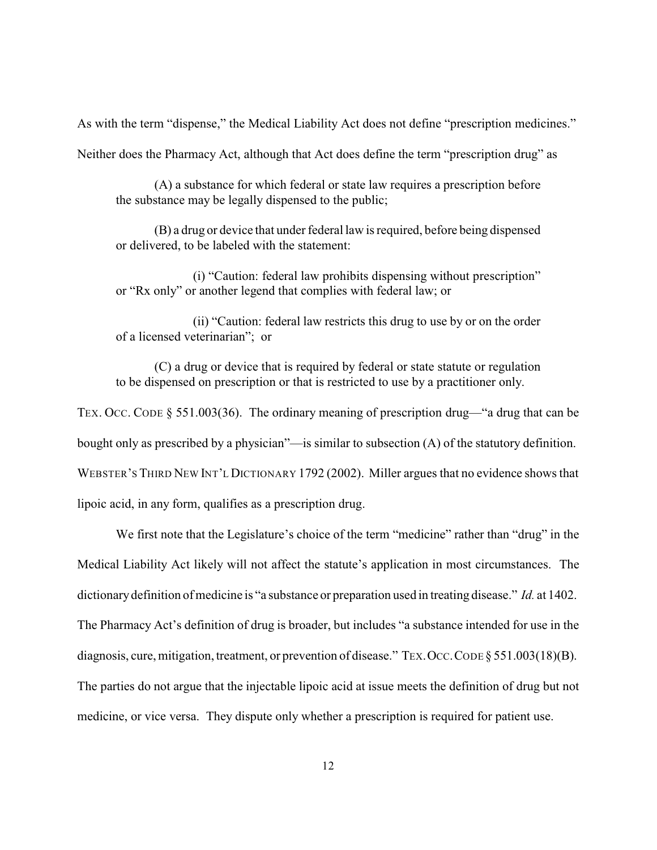As with the term "dispense," the Medical Liability Act does not define "prescription medicines."

Neither does the Pharmacy Act, although that Act does define the term "prescription drug" as

(A) a substance for which federal or state law requires a prescription before the substance may be legally dispensed to the public;

(B) a drug or device that under federal law is required, before being dispensed or delivered, to be labeled with the statement:

(i) "Caution: federal law prohibits dispensing without prescription" or "Rx only" or another legend that complies with federal law; or

(ii) "Caution: federal law restricts this drug to use by or on the order of a licensed veterinarian"; or

(C) a drug or device that is required by federal or state statute or regulation to be dispensed on prescription or that is restricted to use by a practitioner only.

TEX. OCC. CODE § 551.003(36). The ordinary meaning of prescription drug—"a drug that can be bought only as prescribed by a physician"—is similar to subsection (A) of the statutory definition. WEBSTER'S THIRD NEW INT'L DICTIONARY 1792 (2002). Miller argues that no evidence shows that lipoic acid, in any form, qualifies as a prescription drug.

We first note that the Legislature's choice of the term "medicine" rather than "drug" in the Medical Liability Act likely will not affect the statute's application in most circumstances. The dictionarydefinition of medicine is "a substance or preparation used in treating disease." *Id.* at 1402. The Pharmacy Act's definition of drug is broader, but includes "a substance intended for use in the diagnosis, cure, mitigation, treatment, or prevention of disease." TEX. OCC. CODE § 551.003(18)(B). The parties do not argue that the injectable lipoic acid at issue meets the definition of drug but not medicine, or vice versa. They dispute only whether a prescription is required for patient use.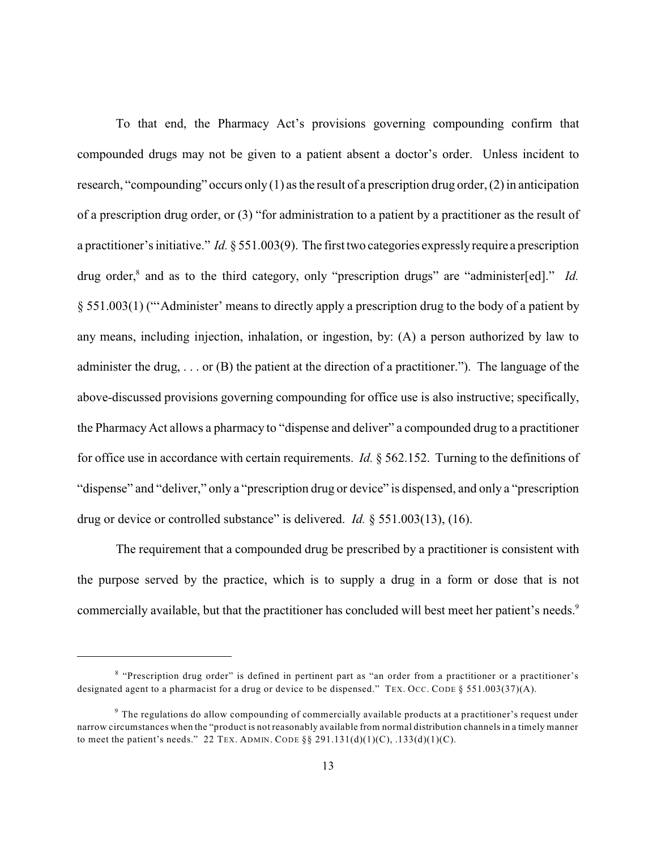To that end, the Pharmacy Act's provisions governing compounding confirm that compounded drugs may not be given to a patient absent a doctor's order. Unless incident to research, "compounding" occurs only  $(1)$  as the result of a prescription drug order,  $(2)$  in anticipation of a prescription drug order, or (3) "for administration to a patient by a practitioner as the result of a practitioner's initiative." *Id.* § 551.003(9). The first two categories expresslyrequire a prescription drug order,<sup>8</sup> and as to the third category, only "prescription drugs" are "administer[ed]." *Id.* § 551.003(1) ("'Administer' means to directly apply a prescription drug to the body of a patient by any means, including injection, inhalation, or ingestion, by: (A) a person authorized by law to administer the drug, . . . or (B) the patient at the direction of a practitioner."). The language of the above-discussed provisions governing compounding for office use is also instructive; specifically, the Pharmacy Act allows a pharmacy to "dispense and deliver" a compounded drug to a practitioner for office use in accordance with certain requirements. *Id.* § 562.152. Turning to the definitions of "dispense" and "deliver," only a "prescription drug or device" is dispensed, and only a "prescription drug or device or controlled substance" is delivered. *Id.* § 551.003(13), (16).

The requirement that a compounded drug be prescribed by a practitioner is consistent with the purpose served by the practice, which is to supply a drug in a form or dose that is not commercially available, but that the practitioner has concluded will best meet her patient's needs.<sup>9</sup>

<sup>&</sup>lt;sup>8</sup> "Prescription drug order" is defined in pertinent part as "an order from a practitioner or a practitioner's designated agent to a pharmacist for a drug or device to be dispensed." TEX. OCC. CODE § 551.003(37)(A).

 $9$  The regulations do allow compounding of commercially available products at a practitioner's request under narrow circumstances when the "product is not reasonably available from normal distribution channels in a timely manner to meet the patient's needs." 22 TEX. ADMIN. CODE  $\S$ § 291.131(d)(1)(C), .133(d)(1)(C).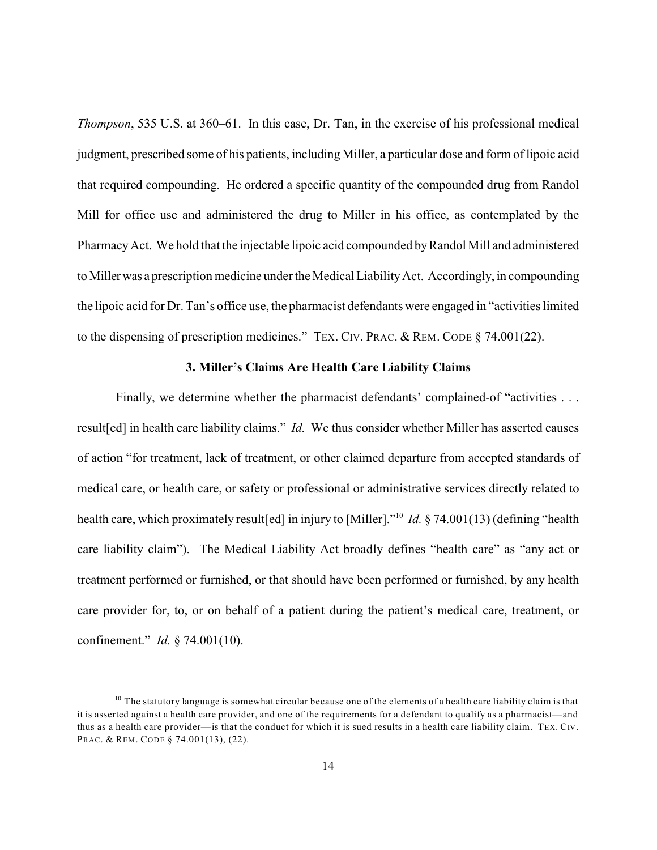*Thompson*, 535 U.S. at 360–61. In this case, Dr. Tan, in the exercise of his professional medical judgment, prescribed some of his patients, including Miller, a particular dose and form of lipoic acid that required compounding. He ordered a specific quantity of the compounded drug from Randol Mill for office use and administered the drug to Miller in his office, as contemplated by the PharmacyAct. We hold that the injectable lipoic acid compounded byRandol Mill and administered to Millerwas a prescription medicine under the Medical LiabilityAct. Accordingly, in compounding the lipoic acid for Dr. Tan's office use, the pharmacist defendants were engaged in "activities limited to the dispensing of prescription medicines." TEX. CIV. PRAC. & REM. CODE § 74.001(22).

#### **3. Miller's Claims Are Health Care Liability Claims**

Finally, we determine whether the pharmacist defendants' complained-of "activities . . . result[ed] in health care liability claims." *Id.* We thus consider whether Miller has asserted causes of action "for treatment, lack of treatment, or other claimed departure from accepted standards of medical care, or health care, or safety or professional or administrative services directly related to health care, which proximately result[ed] in injury to [Miller]."<sup>10</sup> *Id.* § 74.001(13) (defining "health care liability claim"). The Medical Liability Act broadly defines "health care" as "any act or treatment performed or furnished, or that should have been performed or furnished, by any health care provider for, to, or on behalf of a patient during the patient's medical care, treatment, or confinement." *Id.* § 74.001(10).

 $10$  The statutory language is somewhat circular because one of the elements of a health care liability claim is that it is asserted against a health care provider, and one of the requirements for a defendant to qualify as a pharmacist—and thus as a health care provider—is that the conduct for which it is sued results in a health care liability claim. TEX. CIV. PRAC. & REM. CODE § 74.001(13), (22).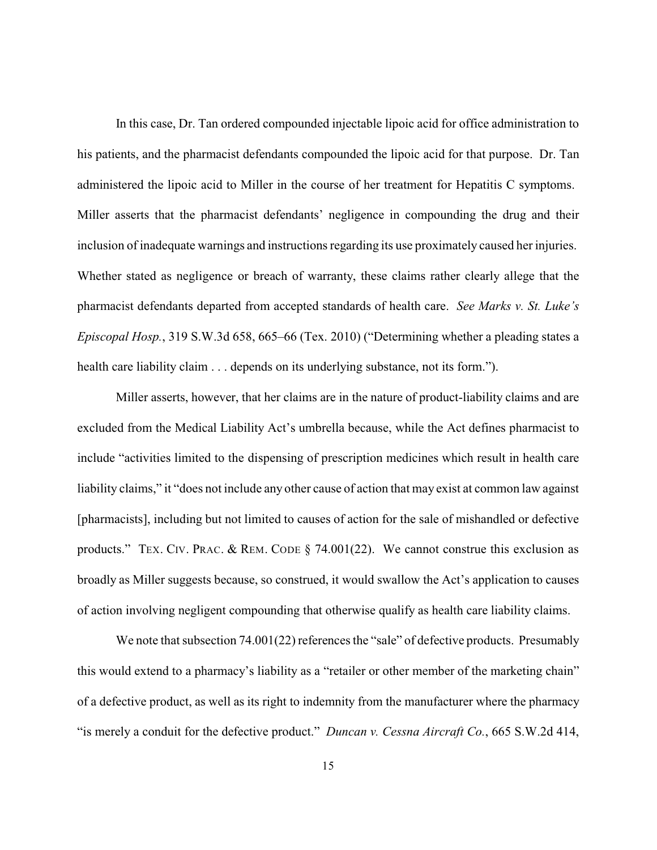In this case, Dr. Tan ordered compounded injectable lipoic acid for office administration to his patients, and the pharmacist defendants compounded the lipoic acid for that purpose. Dr. Tan administered the lipoic acid to Miller in the course of her treatment for Hepatitis C symptoms. Miller asserts that the pharmacist defendants' negligence in compounding the drug and their inclusion of inadequate warnings and instructions regarding its use proximately caused her injuries. Whether stated as negligence or breach of warranty, these claims rather clearly allege that the pharmacist defendants departed from accepted standards of health care. *See Marks v. St. Luke's Episcopal Hosp.*, 319 S.W.3d 658, 665–66 (Tex. 2010) ("Determining whether a pleading states a health care liability claim . . . depends on its underlying substance, not its form.").

Miller asserts, however, that her claims are in the nature of product-liability claims and are excluded from the Medical Liability Act's umbrella because, while the Act defines pharmacist to include "activities limited to the dispensing of prescription medicines which result in health care liability claims," it "does not include any other cause of action that may exist at common law against [pharmacists], including but not limited to causes of action for the sale of mishandled or defective products." TEX. CIV. PRAC. & REM. CODE § 74.001(22). We cannot construe this exclusion as broadly as Miller suggests because, so construed, it would swallow the Act's application to causes of action involving negligent compounding that otherwise qualify as health care liability claims.

We note that subsection 74.001(22) references the "sale" of defective products. Presumably this would extend to a pharmacy's liability as a "retailer or other member of the marketing chain" of a defective product, as well as its right to indemnity from the manufacturer where the pharmacy "is merely a conduit for the defective product." *Duncan v. Cessna Aircraft Co.*, 665 S.W.2d 414,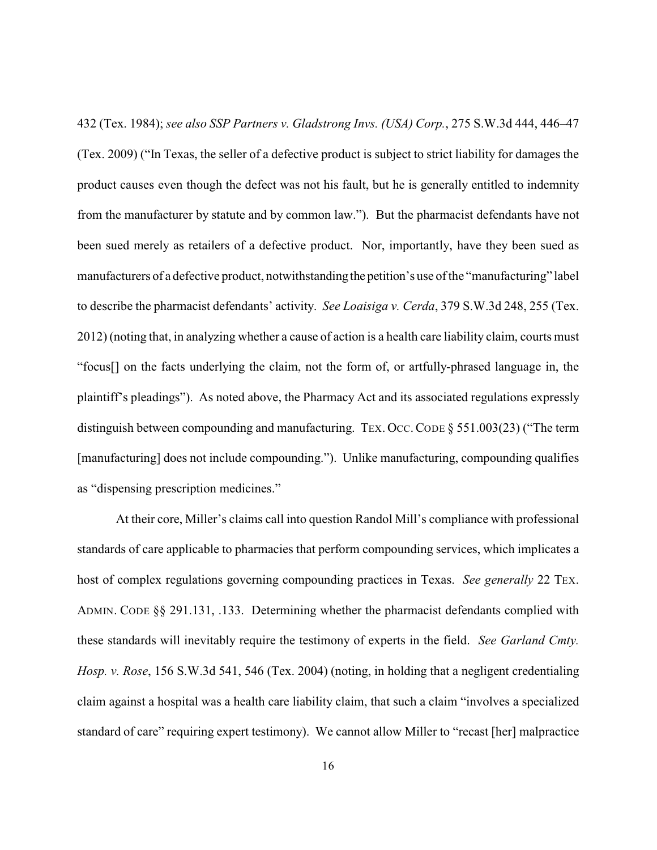432 (Tex. 1984); *see also SSP Partners v. Gladstrong Invs. (USA) Corp.*, 275 S.W.3d 444, 446–47 (Tex. 2009) ("In Texas, the seller of a defective product is subject to strict liability for damages the product causes even though the defect was not his fault, but he is generally entitled to indemnity from the manufacturer by statute and by common law."). But the pharmacist defendants have not been sued merely as retailers of a defective product. Nor, importantly, have they been sued as manufacturers of a defective product, notwithstanding the petition's use of the "manufacturing" label to describe the pharmacist defendants' activity. *See Loaisiga v. Cerda*, 379 S.W.3d 248, 255 (Tex. 2012) (noting that, in analyzing whether a cause of action is a health care liability claim, courts must "focus[] on the facts underlying the claim, not the form of, or artfully-phrased language in, the plaintiff's pleadings"). As noted above, the Pharmacy Act and its associated regulations expressly distinguish between compounding and manufacturing. TEX. OCC. CODE § 551.003(23) ("The term [manufacturing] does not include compounding."). Unlike manufacturing, compounding qualifies as "dispensing prescription medicines."

At their core, Miller's claims call into question Randol Mill's compliance with professional standards of care applicable to pharmacies that perform compounding services, which implicates a host of complex regulations governing compounding practices in Texas. *See generally* 22 TEX. ADMIN. CODE §§ 291.131, .133. Determining whether the pharmacist defendants complied with these standards will inevitably require the testimony of experts in the field. *See Garland Cmty. Hosp. v. Rose*, 156 S.W.3d 541, 546 (Tex. 2004) (noting, in holding that a negligent credentialing claim against a hospital was a health care liability claim, that such a claim "involves a specialized standard of care" requiring expert testimony). We cannot allow Miller to "recast [her] malpractice